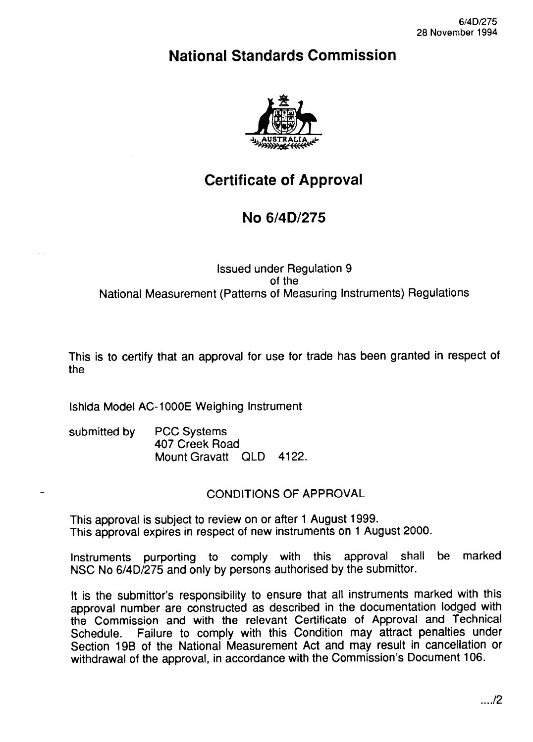# **National Standards Commission**



# **Certificate of Approval**

## **No 6/4D/275**

#### Issued under Regulation 9 of the National Measurement (Patterns of Measuring Instruments) Regulations

This is to certify that an approval for use for trade has been granted in respect of the

lshida Model AC-1000E Weighing Instrument

| submitted by | <b>PCC Systems</b><br>407 Creek Road |  |  |
|--------------|--------------------------------------|--|--|
|              | Mount Gravatt QLD 4122.              |  |  |

#### CONDITIONS OF APPROVAL

This approval is subject to review on or after 1 August 1999. This approval expires in respect of new instruments on 1 August 2000.

Instruments purporting to comply with this approval shall be marked NSC No 6/4D/275 and only by persons authorised by the Submittor.

It is the Submittor's responsibility to ensure that all instruments marked with this approval number are constructed as described in the documentation lodged with the Commission and with the relevant Certificate of Approval and Technical Schedule. Failure to comply with this Condition may attract penalties under Failure to comply with this Condition may attract penalties under Section 19B of the National Measurement Act and may result in cancellation or withdrawal of the approval, in accordance with the Commission's Document 106.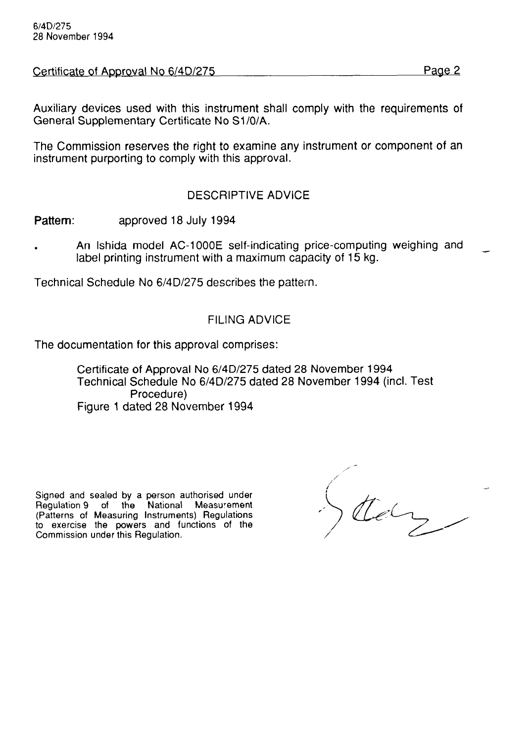Certificate of Approval No 6/4D/275

Auxiliary devices used with this instrument shall comply with the requirements of General Supplementary Certificate No Sl/O/A.

The Commission reserves the right to examine any instrument or component of an instrument purporting to comply with this approval.

### DESCRIPTIVE ADVICE

Pattern: approved 18 July 1994

An Ishida model AC-1000E self-indicating price-computing weighing and label printing instrument with a maximum capacity of 15 kg.

Technical Schedule No 6/4D/275 describes the pattern.

#### FILING ADVICE

The documentation for this approval comprises:

Certificate of Approval No 6/4D/275 dated 28 November 1994 Technical Schedule No 6/4D/275 dated 28 November 1994 (incl. Test Procedure) Figure 1 dated 28 November 1994

Signed and sealed by a person authorised under Regulation 9 of the National Measurement (Patterns of Measuring Instruments) Regulations to exercise the powers and functions of the Commission under this Regulation.

 $\sqrt{d}$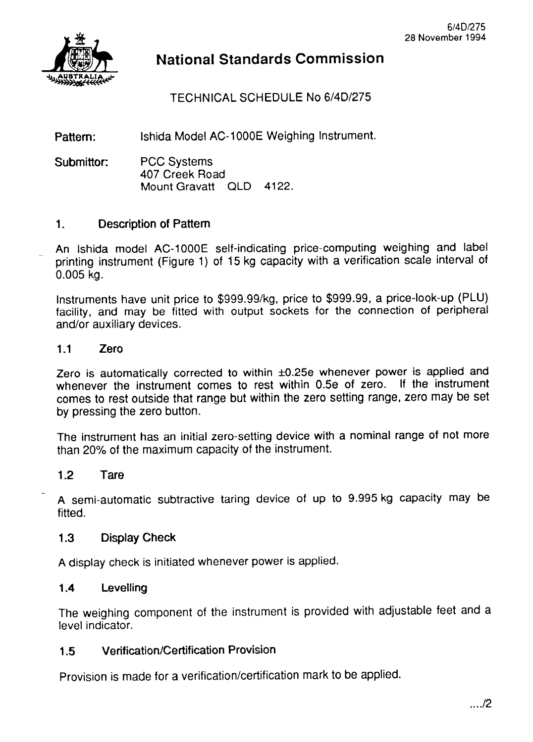

## **National Standards Commission**

TECHNICAL SCHEDULE No 6/4D/275

Pattern: lshida Model AC-1000E Weighing Instrument.

Submittor: PCC Systems 407 Creek Road Mount Gravatt QLD 4122.

#### 1. Description of Pattern

An Ishida model AC-1000E self-indicating price-computing weighing and label printing instrument (Figure 1) of 15 kg capacity with a verification scale interval of 0.005 kg.

Instruments have unit price to \$999.99/kg, price to \$999.99, a price-look-up (PLU) facility, and may be fitted with output sockets for the connection of peripheral and/or auxiliary devices.

#### 1.1 Zero

Zero is automatically corrected to within  $\pm 0.25e$  whenever power is applied and whenever the instrument comes to rest within 0.5e of zero. If the instrument comes to rest outside that range but within the zero setting range, zero may be set by pressing the zero button.

The instrument has an initial zero-setting device with a nominal range of not more than 20% of the maximum capacity of the instrument.

#### 1.2 Tare

A semi-automatic subtractive taring device of up to 9.995 kg capacity may be fitted.

### 1.3 Display Check

A display check is initiated whenever power is applied.

#### 1.4 Levelling

The weighing component of the instrument is provided with adjustable feet and a level indicator.

#### 1.5 Verification/Certification Provision

Provision is made for a verification/certification mark to be applied.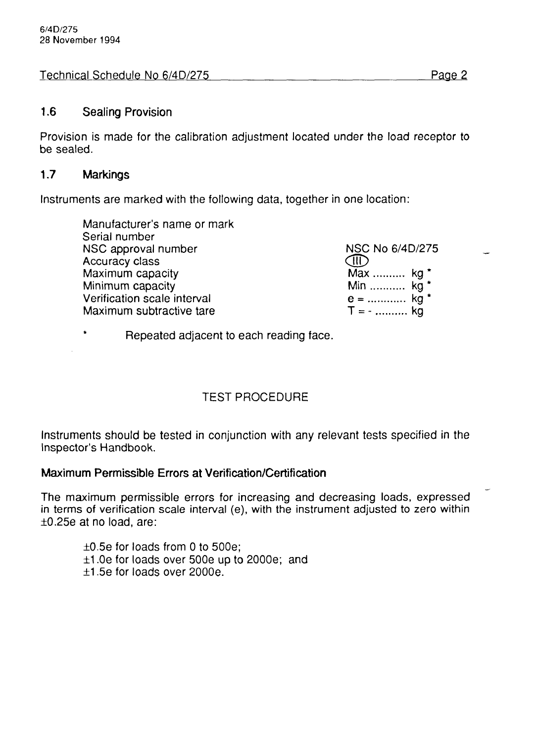Technical Schedule No 6/4D/275 Page 2

### 1.6 Sealing Provision

Provision is made for the calibration adjustment located under the load receptor to be sealed.

### 1.7 Markings

Instruments are marked with the following data, together in one location:

| Manufacturer's name or mark |                 |
|-----------------------------|-----------------|
| Serial number               |                 |
| NSC approval number         | NSC No 6/4D/275 |
| Accuracy class              |                 |
| Maximum capacity            | Max  kg *       |
| Minimum capacity            | Min  kg *       |
| Verification scale interval | $e =$ kg *      |
| Maximum subtractive tare    | $T = -$ kg      |

\* Repeated adjacent to each reading face.

## TEST PROCEDURE

Instruments should be tested in conjunction with any relevant tests specified in the Inspector's Handbook.

#### Maximum Permissible Errors at Verification/Certification

The maximum permissible errors for increasing and decreasing loads, expressed in terms of verification scale interval (e), with the instrument adjusted to zero within  $\pm 0.25e$  at no load, are:

 $\pm 0.5$ e for loads from 0 to 500e;  $±1.0e$  for loads over 500e up to 2000e; and  $\pm$ 1.5e for loads over 2000e.